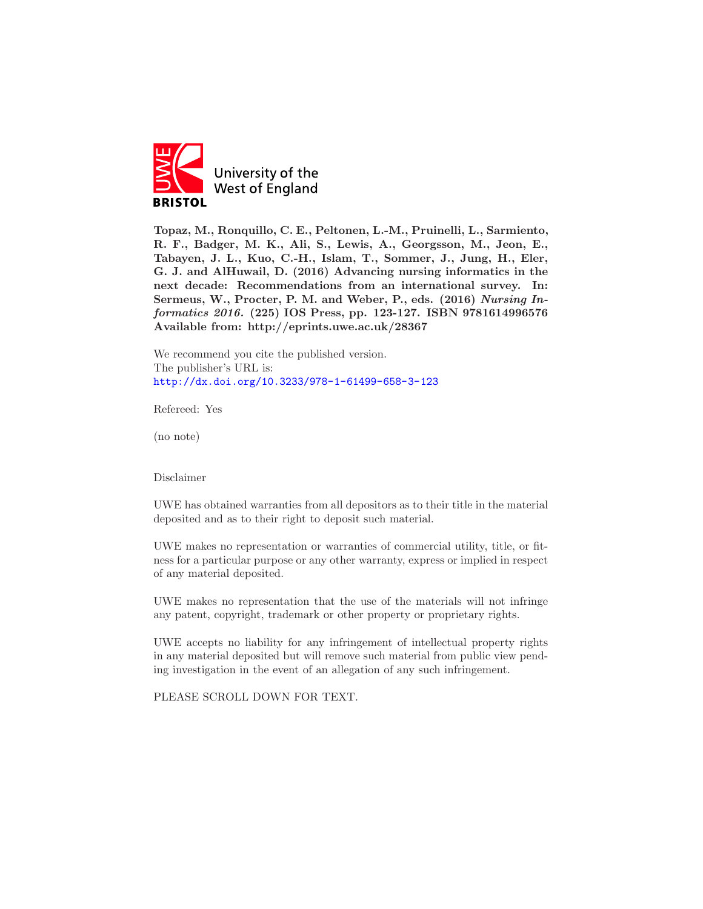

Topaz, M., Ronquillo, C. E., Peltonen, L.-M., Pruinelli, L., Sarmiento, R. F., Badger, M. K., Ali, S., Lewis, A., Georgsson, M., Jeon, E., Tabayen, J. L., Kuo, C.-H., Islam, T., Sommer, J., Jung, H., Eler, G. J. and AlHuwail, D. (2016) Advancing nursing informatics in the next decade: Recommendations from an international survey. In: Sermeus, W., Procter, P. M. and Weber, P., eds. (2016) Nursing Informatics 2016. (225) IOS Press, pp. 123-127. ISBN 9781614996576 Available from: http://eprints.uwe.ac.uk/28367

We recommend you cite the published version. The publisher's URL is: <http://dx.doi.org/10.3233/978-1-61499-658-3-123>

Refereed: Yes

(no note)

Disclaimer

UWE has obtained warranties from all depositors as to their title in the material deposited and as to their right to deposit such material.

UWE makes no representation or warranties of commercial utility, title, or fitness for a particular purpose or any other warranty, express or implied in respect of any material deposited.

UWE makes no representation that the use of the materials will not infringe any patent, copyright, trademark or other property or proprietary rights.

UWE accepts no liability for any infringement of intellectual property rights in any material deposited but will remove such material from public view pending investigation in the event of an allegation of any such infringement.

PLEASE SCROLL DOWN FOR TEXT.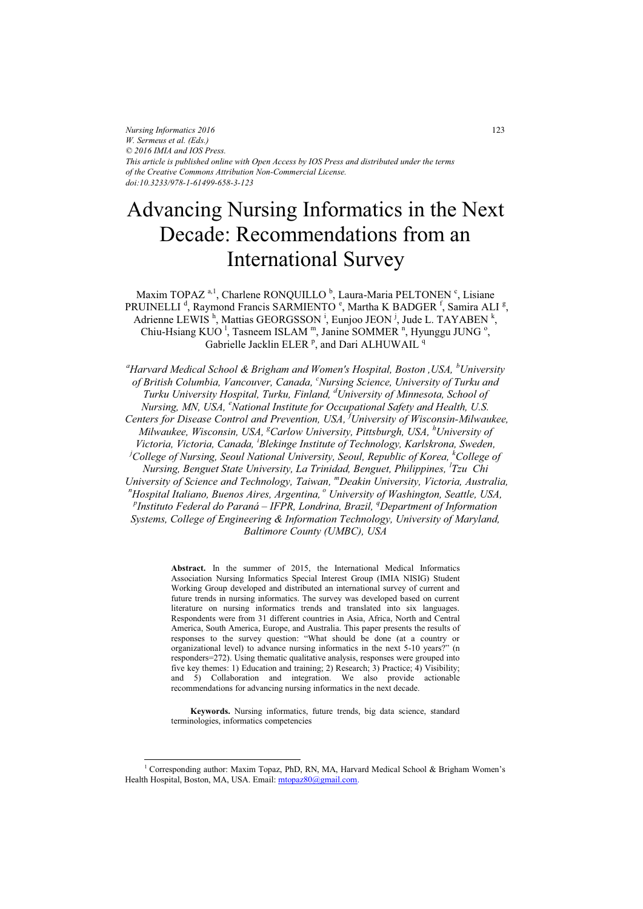*Nursing Informatics 2016 W. Sermeus et al. (Eds.) © 2016 IMIA and IOS Press. This article is published online with Open Access by IOS Press and distributed under the terms of the Creative Commons Attribution Non-Commercial License. doi:10.3233/978-1-61499-658-3-123*

# Advancing Nursing Informatics in the Next Decade: Recommendations from an International Survey

Maxim TOPAZ<sup>a, 1</sup>, Charlene RONQUILLO<sup>b</sup>, Laura-Maria PELTONEN<sup>c</sup>, Lisiane PRUINELLI<sup>d</sup>, Raymond Francis SARMIENTO<sup>e</sup>, Martha K BADGER<sup>f</sup>, Samira ALI<sup>g</sup>, Adrienne LEWIS<sup>h</sup>, Mattias GEORGSSON<sup>i</sup>, Eunjoo JEON<sup>j</sup>, Jude L. TAYABEN<sup>k</sup>, Chiu-Hsiang KUO<sup>1</sup>, Tasneem ISLAM<sup>m</sup>, Janine SOMMER<sup>n</sup>, Hyunggu JUNG<sup>o</sup>, Gabrielle Jacklin ELER<sup>p</sup>, and Dari ALHUWAIL<sup>q</sup>

*a Harvard Medical School & Brigham and Women's Hospital, Boston ,USA, <sup>b</sup> University of British Columbia, Vancouver, Canada, <sup>c</sup> Nursing Science, University of Turku and Turku University Hospital, Turku, Finland, <sup>d</sup> University of Minnesota, School of Nursing, MN, USA, <sup>e</sup> National Institute for Occupational Safety and Health, U.S. Centers for Disease Control and Prevention, USA, <sup>f</sup> University of Wisconsin-Milwaukee, Milwaukee, Wisconsin, USA, g Carlow University, Pittsburgh, USA, <sup>h</sup> University of Victoria, Victoria, Canada, <sup>i</sup> Blekinge Institute of Technology, Karlskrona, Sweden,*  <sup>*i*</sup>College of Nursing, Seoul National University, Seoul, Republic of Korea, <sup>k</sup>College of *Nursing, Benguet State University, La Trinidad, Benguet, Philippines, <sup>l</sup> Tzu Chi University of Science and Technology, Taiwan, mDeakin University, Victoria, Australia, n Hospital Italiano, Buenos Aires, Argentina, <sup>o</sup> University of Washington, Seattle, USA, Plustituto Eederal do Paraná, JEPP Londing Prazil <sup>9</sup> Department of Information Instituto Federal do Paraná – IFPR, Londrina, Brazil, <sup>q</sup> Department of Information Systems, College of Engineering & Information Technology, University of Maryland, Baltimore County (UMBC), USA* 

> **Abstract.** In the summer of 2015, the International Medical Informatics Association Nursing Informatics Special Interest Group (IMIA NISIG) Student Working Group developed and distributed an international survey of current and future trends in nursing informatics. The survey was developed based on current literature on nursing informatics trends and translated into six languages. Respondents were from 31 different countries in Asia, Africa, North and Central America, South America, Europe, and Australia. This paper presents the results of responses to the survey question: "What should be done (at a country or organizational level) to advance nursing informatics in the next 5-10 years?" (n responders=272). Using thematic qualitative analysis, responses were grouped into five key themes: 1) Education and training; 2) Research; 3) Practice; 4) Visibility; and 5) Collaboration and integration. We also provide actionable recommendations for advancing nursing informatics in the next decade.

> **Keywords.** Nursing informatics, future trends, big data science, standard terminologies, informatics competencies

j

<sup>1</sup> Corresponding author: Maxim Topaz, PhD, RN, MA, Harvard Medical School & Brigham Women's Health Hospital, Boston, MA, USA. Email: [mtopaz80@gmail.com.](mailto:mtopaz80@gmail.com)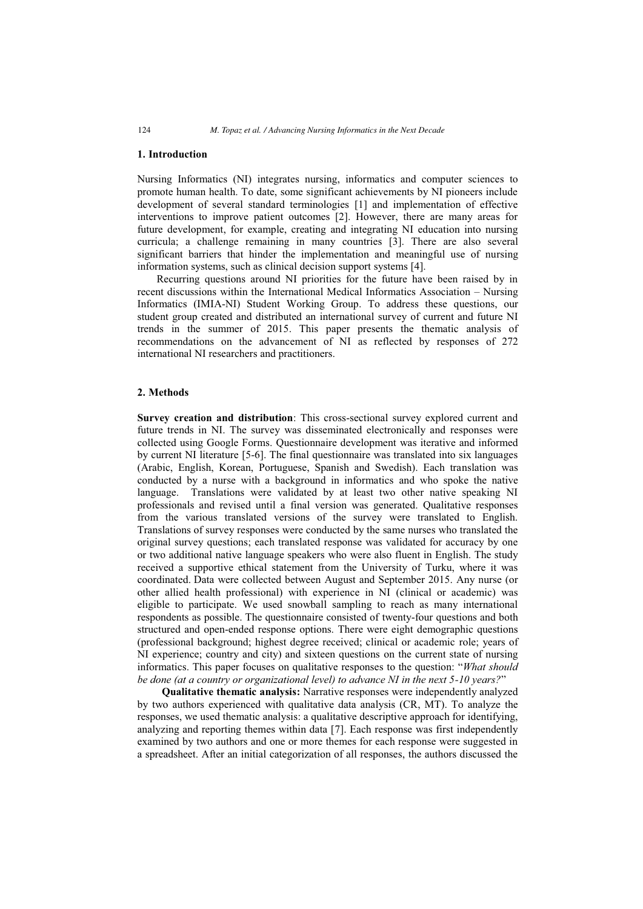## **1. Introduction**

Nursing Informatics (NI) integrates nursing, informatics and computer sciences to promote human health. To date, some significant achievements by NI pioneers include development of several standard terminologies [1] and implementation of effective interventions to improve patient outcomes [2]. However, there are many areas for future development, for example, creating and integrating NI education into nursing curricula; a challenge remaining in many countries [3]. There are also several significant barriers that hinder the implementation and meaningful use of nursing information systems, such as clinical decision support systems [4].

Recurring questions around NI priorities for the future have been raised by in recent discussions within the International Medical Informatics Association – Nursing Informatics (IMIA-NI) Student Working Group. To address these questions, our student group created and distributed an international survey of current and future NI trends in the summer of 2015. This paper presents the thematic analysis of recommendations on the advancement of NI as reflected by responses of 272 international NI researchers and practitioners.

### **2. Methods**

**Survey creation and distribution**: This cross-sectional survey explored current and future trends in NI. The survey was disseminated electronically and responses were collected using Google Forms. Questionnaire development was iterative and informed by current NI literature [5-6]. The final questionnaire was translated into six languages (Arabic, English, Korean, Portuguese, Spanish and Swedish). Each translation was conducted by a nurse with a background in informatics and who spoke the native language. Translations were validated by at least two other native speaking NI professionals and revised until a final version was generated. Qualitative responses from the various translated versions of the survey were translated to English. Translations of survey responses were conducted by the same nurses who translated the original survey questions; each translated response was validated for accuracy by one or two additional native language speakers who were also fluent in English. The study received a supportive ethical statement from the University of Turku, where it was coordinated. Data were collected between August and September 2015. Any nurse (or other allied health professional) with experience in NI (clinical or academic) was eligible to participate. We used snowball sampling to reach as many international respondents as possible. The questionnaire consisted of twenty-four questions and both structured and open-ended response options. There were eight demographic questions (professional background; highest degree received; clinical or academic role; years of NI experience; country and city) and sixteen questions on the current state of nursing informatics. This paper focuses on qualitative responses to the question: "*What should be done (at a country or organizational level) to advance NI in the next 5-10 years?*"

**Qualitative thematic analysis:** Narrative responses were independently analyzed by two authors experienced with qualitative data analysis (CR, MT). To analyze the responses, we used thematic analysis: a qualitative descriptive approach for identifying, analyzing and reporting themes within data [7]. Each response was first independently examined by two authors and one or more themes for each response were suggested in a spreadsheet. After an initial categorization of all responses, the authors discussed the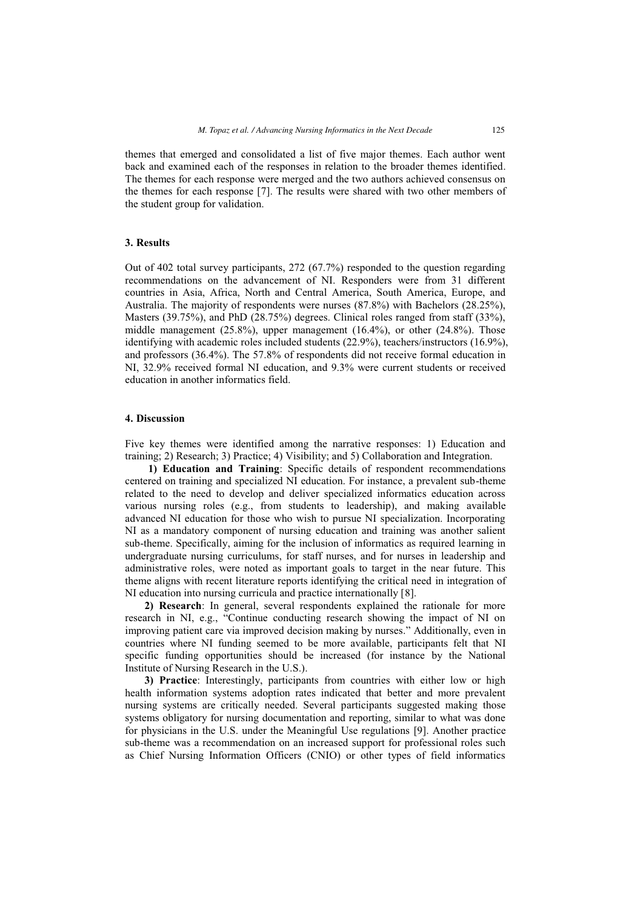themes that emerged and consolidated a list of five major themes. Each author went back and examined each of the responses in relation to the broader themes identified. The themes for each response were merged and the two authors achieved consensus on the themes for each response [7]. The results were shared with two other members of the student group for validation.

## **3. Results**

Out of 402 total survey participants, 272 (67.7%) responded to the question regarding recommendations on the advancement of NI. Responders were from 31 different countries in Asia, Africa, North and Central America, South America, Europe, and Australia. The majority of respondents were nurses (87.8%) with Bachelors (28.25%), Masters (39.75%), and PhD (28.75%) degrees. Clinical roles ranged from staff (33%), middle management  $(25.8\%)$ , upper management  $(16.4\%)$ , or other  $(24.8\%)$ . Those identifying with academic roles included students (22.9%), teachers/instructors (16.9%), and professors (36.4%). The 57.8% of respondents did not receive formal education in NI, 32.9% received formal NI education, and 9.3% were current students or received education in another informatics field.

## **4. Discussion**

Five key themes were identified among the narrative responses: 1) Education and training; 2) Research; 3) Practice; 4) Visibility; and 5) Collaboration and Integration.

**1) Education and Training**: Specific details of respondent recommendations centered on training and specialized NI education. For instance, a prevalent sub-theme related to the need to develop and deliver specialized informatics education across various nursing roles (e.g., from students to leadership), and making available advanced NI education for those who wish to pursue NI specialization. Incorporating NI as a mandatory component of nursing education and training was another salient sub-theme. Specifically, aiming for the inclusion of informatics as required learning in undergraduate nursing curriculums, for staff nurses, and for nurses in leadership and administrative roles, were noted as important goals to target in the near future. This theme aligns with recent literature reports identifying the critical need in integration of NI education into nursing curricula and practice internationally [8].

**2) Research**: In general, several respondents explained the rationale for more research in NI, e.g., "Continue conducting research showing the impact of NI on improving patient care via improved decision making by nurses." Additionally, even in countries where NI funding seemed to be more available, participants felt that NI specific funding opportunities should be increased (for instance by the National Institute of Nursing Research in the U.S.).

**3) Practice**: Interestingly, participants from countries with either low or high health information systems adoption rates indicated that better and more prevalent nursing systems are critically needed. Several participants suggested making those systems obligatory for nursing documentation and reporting, similar to what was done for physicians in the U.S. under the Meaningful Use regulations [9]. Another practice sub-theme was a recommendation on an increased support for professional roles such as Chief Nursing Information Officers (CNIO) or other types of field informatics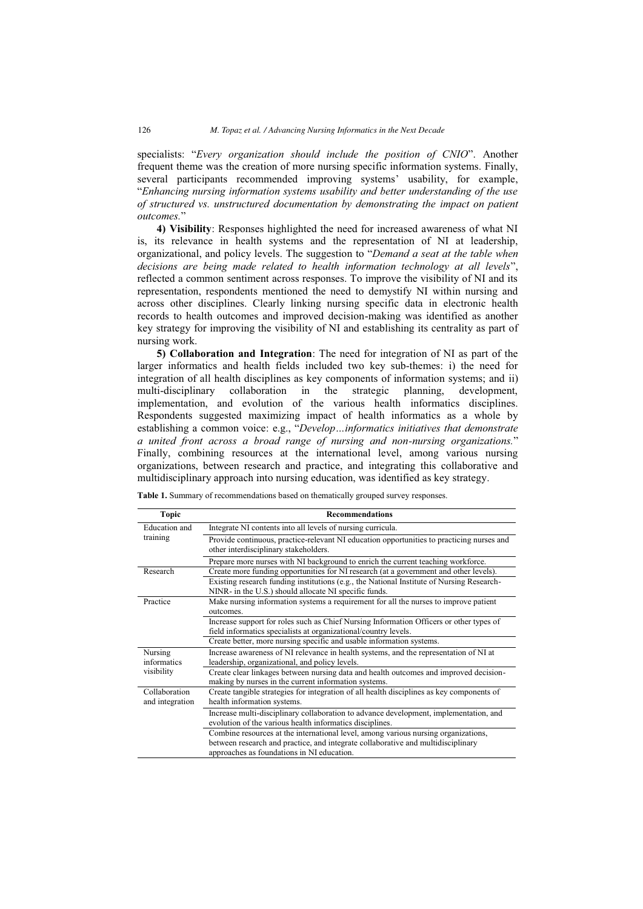specialists: "*Every organization should include the position of CNIO*". Another frequent theme was the creation of more nursing specific information systems. Finally, several participants recommended improving systems' usability, for example, "*Enhancing nursing information systems usability and better understanding of the use of structured vs. unstructured documentation by demonstrating the impact on patient outcomes.*"

**4) Visibility**: Responses highlighted the need for increased awareness of what NI is, its relevance in health systems and the representation of NI at leadership, organizational, and policy levels. The suggestion to "*Demand a seat at the table when decisions are being made related to health information technology at all levels*", reflected a common sentiment across responses. To improve the visibility of NI and its representation, respondents mentioned the need to demystify NI within nursing and across other disciplines. Clearly linking nursing specific data in electronic health records to health outcomes and improved decision-making was identified as another key strategy for improving the visibility of NI and establishing its centrality as part of nursing work.

**5) Collaboration and Integration**: The need for integration of NI as part of the larger informatics and health fields included two key sub-themes: i) the need for integration of all health disciplines as key components of information systems; and ii) multi-disciplinary collaboration in the strategic planning, development, implementation, and evolution of the various health informatics disciplines. Respondents suggested maximizing impact of health informatics as a whole by establishing a common voice: e.g., "*Develop…informatics initiatives that demonstrate a united front across a broad range of nursing and non-nursing organizations.*" Finally, combining resources at the international level, among various nursing organizations, between research and practice, and integrating this collaborative and multidisciplinary approach into nursing education, was identified as key strategy.

| <b>Topic</b>                     | <b>Recommendations</b>                                                                                                                                                                                               |
|----------------------------------|----------------------------------------------------------------------------------------------------------------------------------------------------------------------------------------------------------------------|
| Education and<br>training        | Integrate NI contents into all levels of nursing curricula.                                                                                                                                                          |
|                                  | Provide continuous, practice-relevant NI education opportunities to practicing nurses and<br>other interdisciplinary stakeholders.                                                                                   |
|                                  | Prepare more nurses with NI background to enrich the current teaching workforce.                                                                                                                                     |
| Research                         | Create more funding opportunities for NI research (at a government and other levels).                                                                                                                                |
|                                  | Existing research funding institutions (e.g., the National Institute of Nursing Research-<br>NINR- in the U.S.) should allocate NI specific funds.                                                                   |
| Practice                         | Make nursing information systems a requirement for all the nurses to improve patient<br>outcomes.                                                                                                                    |
|                                  | Increase support for roles such as Chief Nursing Information Officers or other types of                                                                                                                              |
|                                  | field informatics specialists at organizational/country levels.                                                                                                                                                      |
|                                  | Create better, more nursing specific and usable information systems.                                                                                                                                                 |
| Nursing                          | Increase awareness of NI relevance in health systems, and the representation of NI at                                                                                                                                |
| informatics                      | leadership, organizational, and policy levels.                                                                                                                                                                       |
| visibility                       | Create clear linkages between nursing data and health outcomes and improved decision-<br>making by nurses in the current information systems.                                                                        |
| Collaboration<br>and integration | Create tangible strategies for integration of all health disciplines as key components of<br>health information systems.                                                                                             |
|                                  | Increase multi-disciplinary collaboration to advance development, implementation, and<br>evolution of the various health informatics disciplines.                                                                    |
|                                  | Combine resources at the international level, among various nursing organizations,<br>between research and practice, and integrate collaborative and multidisciplinary<br>approaches as foundations in NI education. |

**Table 1.** Summary of recommendations based on thematically grouped survey responses.